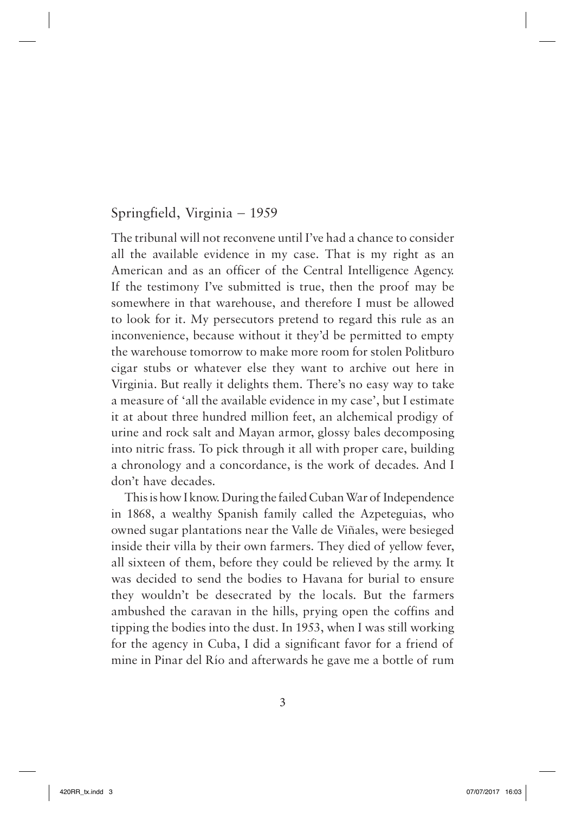## Springfield, Virginia – 1959

The tribunal will not reconvene until I've had a chance to consider all the available evidence in my case. That is my right as an American and as an officer of the Central Intelligence Agency. If the testimony I've submitted is true, then the proof may be somewhere in that warehouse, and therefore I must be allowed to look for it. My persecutors pretend to regard this rule as an inconvenience, because without it they'd be permitted to empty the warehouse tomorrow to make more room for stolen Politburo cigar stubs or whatever else they want to archive out here in Virginia. But really it delights them. There's no easy way to take a measure of 'all the available evidence in my case', but I estimate it at about three hundred million feet, an alchemical prodigy of urine and rock salt and Mayan armor, glossy bales decomposing into nitric frass. To pick through it all with proper care, building a chronology and a concordance, is the work of decades. And I don't have decades.

This is how I know. During the failed Cuban War of Independence in 1868, a wealthy Spanish family called the Azpeteguias, who owned sugar plantations near the Valle de Viñales, were besieged inside their villa by their own farmers. They died of yellow fever, all sixteen of them, before they could be relieved by the army. It was decided to send the bodies to Havana for burial to ensure they wouldn't be desecrated by the locals. But the farmers ambushed the caravan in the hills, prying open the coffins and tipping the bodies into the dust. In 1953, when I was still working for the agency in Cuba, I did a significant favor for a friend of mine in Pinar del Río and afterwards he gave me a bottle of rum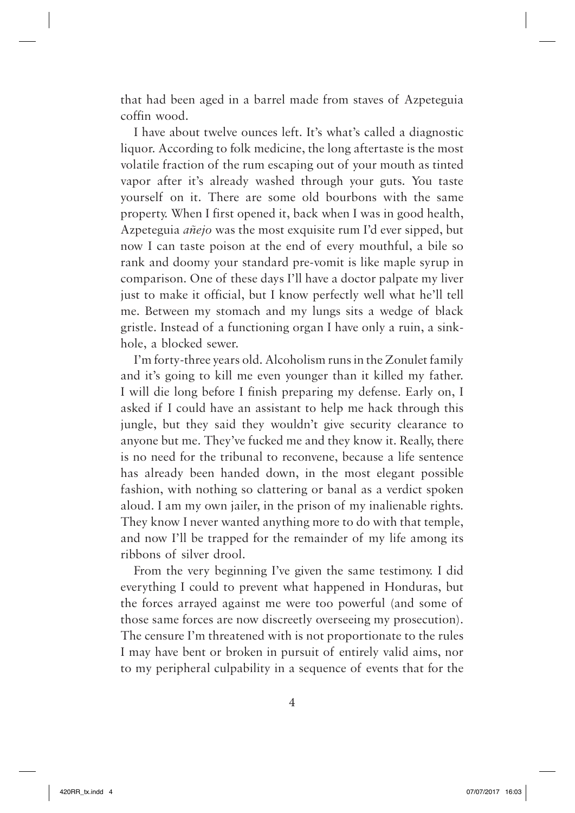that had been aged in a barrel made from staves of Azpeteguia coffin wood.

I have about twelve ounces left. It's what's called a diagnostic liquor. According to folk medicine, the long aftertaste is the most volatile fraction of the rum escaping out of your mouth as tinted vapor after it's already washed through your guts. You taste yourself on it. There are some old bourbons with the same property. When I first opened it, back when I was in good health, Azpeteguia *añejo* was the most exquisite rum I'd ever sipped, but now I can taste poison at the end of every mouthful, a bile so rank and doomy your standard pre-vomit is like maple syrup in comparison. One of these days I'll have a doctor palpate my liver just to make it official, but I know perfectly well what he'll tell me. Between my stomach and my lungs sits a wedge of black gristle. Instead of a functioning organ I have only a ruin, a sinkhole, a blocked sewer.

I'm forty-three years old. Alcoholism runs in the Zonulet family and it's going to kill me even younger than it killed my father. I will die long before I finish preparing my defense. Early on, I asked if I could have an assistant to help me hack through this jungle, but they said they wouldn't give security clearance to anyone but me. They've fucked me and they know it. Really, there is no need for the tribunal to reconvene, because a life sentence has already been handed down, in the most elegant possible fashion, with nothing so clattering or banal as a verdict spoken aloud. I am my own jailer, in the prison of my inalienable rights. They know I never wanted anything more to do with that temple, and now I'll be trapped for the remainder of my life among its ribbons of silver drool.

From the very beginning I've given the same testimony. I did everything I could to prevent what happened in Honduras, but the forces arrayed against me were too powerful (and some of those same forces are now discreetly overseeing my prosecution). The censure I'm threatened with is not proportionate to the rules I may have bent or broken in pursuit of entirely valid aims, nor to my peripheral culpability in a sequence of events that for the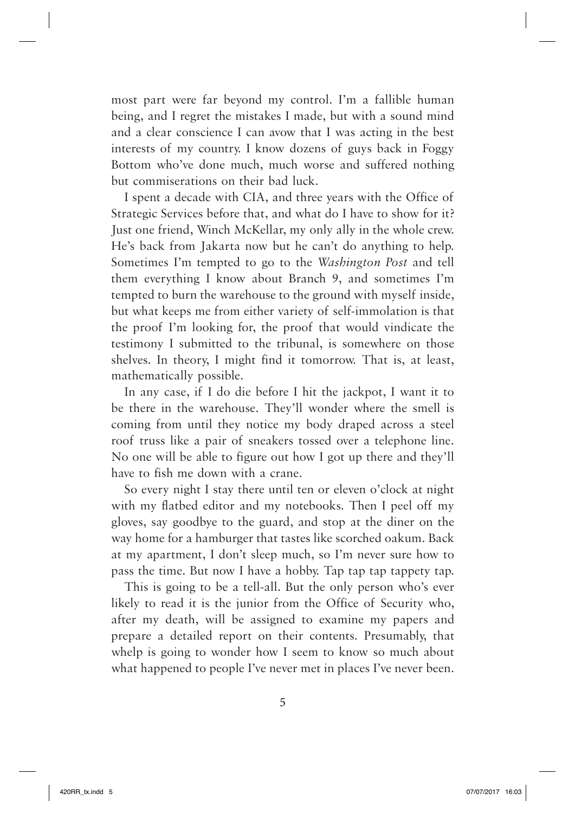most part were far beyond my control. I'm a fallible human being, and I regret the mistakes I made, but with a sound mind and a clear conscience I can avow that I was acting in the best interests of my country. I know dozens of guys back in Foggy Bottom who've done much, much worse and suffered nothing but commiserations on their bad luck.

I spent a decade with CIA, and three years with the Office of Strategic Services before that, and what do I have to show for it? Just one friend, Winch McKellar, my only ally in the whole crew. He's back from Jakarta now but he can't do anything to help. Sometimes I'm tempted to go to the *Washington Post* and tell them everything I know about Branch 9, and sometimes I'm tempted to burn the warehouse to the ground with myself inside, but what keeps me from either variety of self-immolation is that the proof I'm looking for, the proof that would vindicate the testimony I submitted to the tribunal, is somewhere on those shelves. In theory, I might find it tomorrow. That is, at least, mathematically possible.

In any case, if I do die before I hit the jackpot, I want it to be there in the warehouse. They'll wonder where the smell is coming from until they notice my body draped across a steel roof truss like a pair of sneakers tossed over a telephone line. No one will be able to figure out how I got up there and they'll have to fish me down with a crane.

So every night I stay there until ten or eleven o'clock at night with my flatbed editor and my notebooks. Then I peel off my gloves, say goodbye to the guard, and stop at the diner on the way home for a hamburger that tastes like scorched oakum. Back at my apartment, I don't sleep much, so I'm never sure how to pass the time. But now I have a hobby. Tap tap tap tappety tap.

This is going to be a tell-all. But the only person who's ever likely to read it is the junior from the Office of Security who, after my death, will be assigned to examine my papers and prepare a detailed report on their contents. Presumably, that whelp is going to wonder how I seem to know so much about what happened to people I've never met in places I've never been.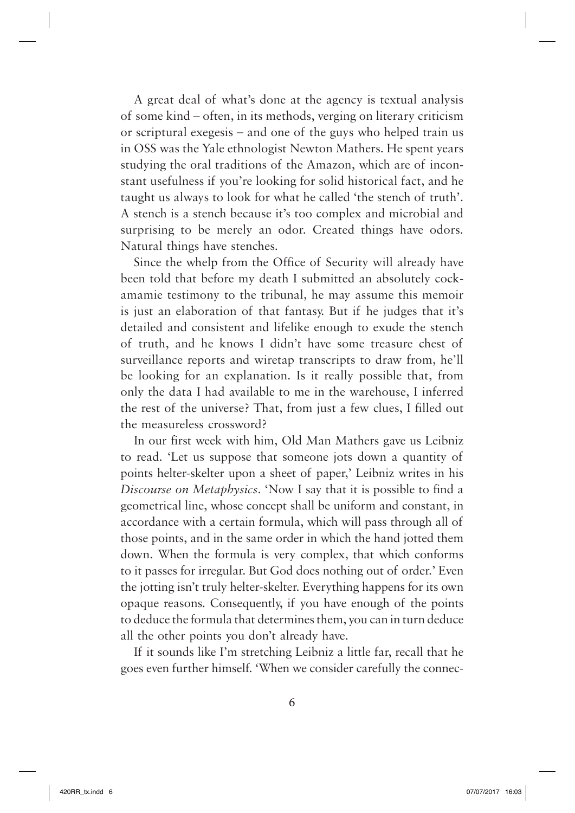A great deal of what's done at the agency is textual analysis of some kind – often, in its methods, verging on literary criticism or scriptural exegesis – and one of the guys who helped train us in OSS was the Yale ethnologist Newton Mathers. He spent years studying the oral traditions of the Amazon, which are of inconstant usefulness if you're looking for solid historical fact, and he taught us always to look for what he called 'the stench of truth'. A stench is a stench because it's too complex and microbial and surprising to be merely an odor. Created things have odors. Natural things have stenches.

Since the whelp from the Office of Security will already have been told that before my death I submitted an absolutely cockamamie testimony to the tribunal, he may assume this memoir is just an elaboration of that fantasy. But if he judges that it's detailed and consistent and lifelike enough to exude the stench of truth, and he knows I didn't have some treasure chest of surveillance reports and wiretap transcripts to draw from, he'll be looking for an explanation. Is it really possible that, from only the data I had available to me in the warehouse, I inferred the rest of the universe? That, from just a few clues, I filled out the measureless crossword?

In our first week with him, Old Man Mathers gave us Leibniz to read. 'Let us suppose that someone jots down a quantity of points helter-skelter upon a sheet of paper,' Leibniz writes in his *Discourse on Metaphysics*. 'Now I say that it is possible to find a geometrical line, whose concept shall be uniform and constant, in accordance with a certain formula, which will pass through all of those points, and in the same order in which the hand jotted them down. When the formula is very complex, that which conforms to it passes for irregular. But God does nothing out of order.' Even the jotting isn't truly helter-skelter. Everything happens for its own opaque reasons. Consequently, if you have enough of the points to deduce the formula that determines them, you can in turn deduce all the other points you don't already have.

If it sounds like I'm stretching Leibniz a little far, recall that he goes even further himself. 'When we consider carefully the connec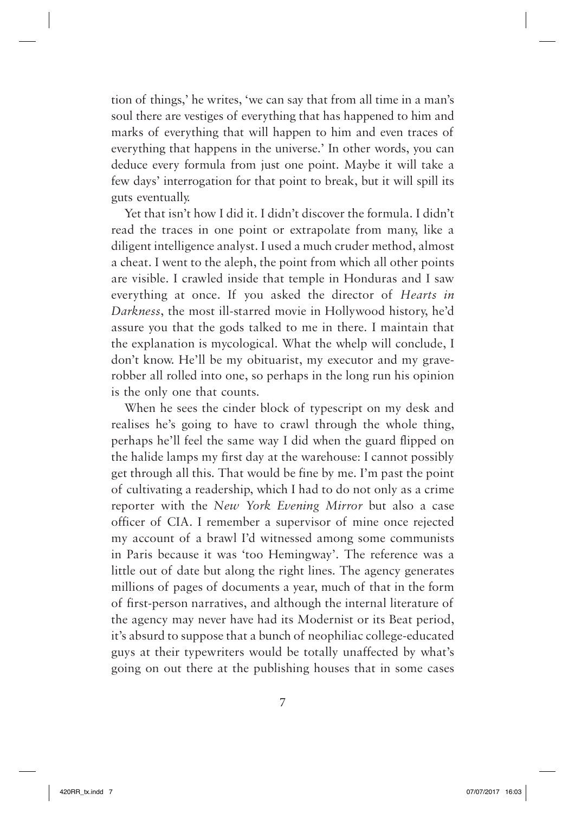tion of things,' he writes, 'we can say that from all time in a man's soul there are vestiges of everything that has happened to him and marks of everything that will happen to him and even traces of everything that happens in the universe.' In other words, you can deduce every formula from just one point. Maybe it will take a few days' interrogation for that point to break, but it will spill its guts eventually.

Yet that isn't how I did it. I didn't discover the formula. I didn't read the traces in one point or extrapolate from many, like a diligent intelligence analyst. I used a much cruder method, almost a cheat. I went to the aleph, the point from which all other points are visible. I crawled inside that temple in Honduras and I saw everything at once. If you asked the director of *Hearts in Darkness*, the most ill-starred movie in Hollywood history, he'd assure you that the gods talked to me in there. I maintain that the explanation is mycological. What the whelp will conclude, I don't know. He'll be my obituarist, my executor and my graverobber all rolled into one, so perhaps in the long run his opinion is the only one that counts.

When he sees the cinder block of typescript on my desk and realises he's going to have to crawl through the whole thing, perhaps he'll feel the same way I did when the guard flipped on the halide lamps my first day at the warehouse: I cannot possibly get through all this. That would be fine by me. I'm past the point of cultivating a readership, which I had to do not only as a crime reporter with the *New York Evening Mirror* but also a case officer of CIA. I remember a supervisor of mine once rejected my account of a brawl I'd witnessed among some communists in Paris because it was 'too Hemingway'. The reference was a little out of date but along the right lines. The agency generates millions of pages of documents a year, much of that in the form of first-person narratives, and although the internal literature of the agency may never have had its Modernist or its Beat period, it's absurd to suppose that a bunch of neophiliac college-educated guys at their typewriters would be totally unaffected by what's going on out there at the publishing houses that in some cases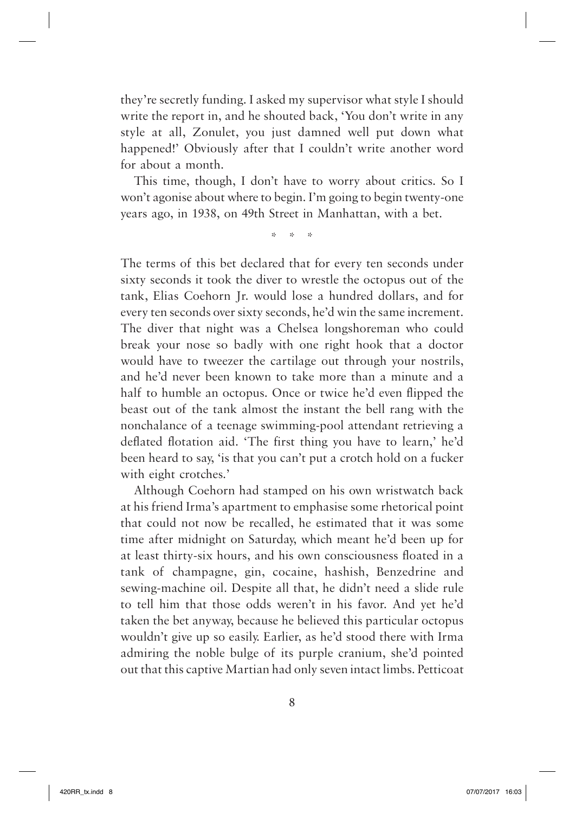they're secretly funding. I asked my supervisor what style I should write the report in, and he shouted back, 'You don't write in any style at all, Zonulet, you just damned well put down what happened!' Obviously after that I couldn't write another word for about a month.

This time, though, I don't have to worry about critics. So I won't agonise about where to begin. I'm going to begin twenty-one years ago, in 1938, on 49th Street in Manhattan, with a bet.

\* \* \*

The terms of this bet declared that for every ten seconds under sixty seconds it took the diver to wrestle the octopus out of the tank, Elias Coehorn Jr. would lose a hundred dollars, and for every ten seconds over sixty seconds, he'd win the same increment. The diver that night was a Chelsea longshoreman who could break your nose so badly with one right hook that a doctor would have to tweezer the cartilage out through your nostrils, and he'd never been known to take more than a minute and a half to humble an octopus. Once or twice he'd even flipped the beast out of the tank almost the instant the bell rang with the nonchalance of a teenage swimming-pool attendant retrieving a deflated flotation aid. 'The first thing you have to learn,' he'd been heard to say, 'is that you can't put a crotch hold on a fucker with eight crotches.'

Although Coehorn had stamped on his own wristwatch back at his friend Irma's apartment to emphasise some rhetorical point that could not now be recalled, he estimated that it was some time after midnight on Saturday, which meant he'd been up for at least thirty-six hours, and his own consciousness floated in a tank of champagne, gin, cocaine, hashish, Benzedrine and sewing-machine oil. Despite all that, he didn't need a slide rule to tell him that those odds weren't in his favor. And yet he'd taken the bet anyway, because he believed this particular octopus wouldn't give up so easily. Earlier, as he'd stood there with Irma admiring the noble bulge of its purple cranium, she'd pointed out that this captive Martian had only seven intact limbs. Petticoat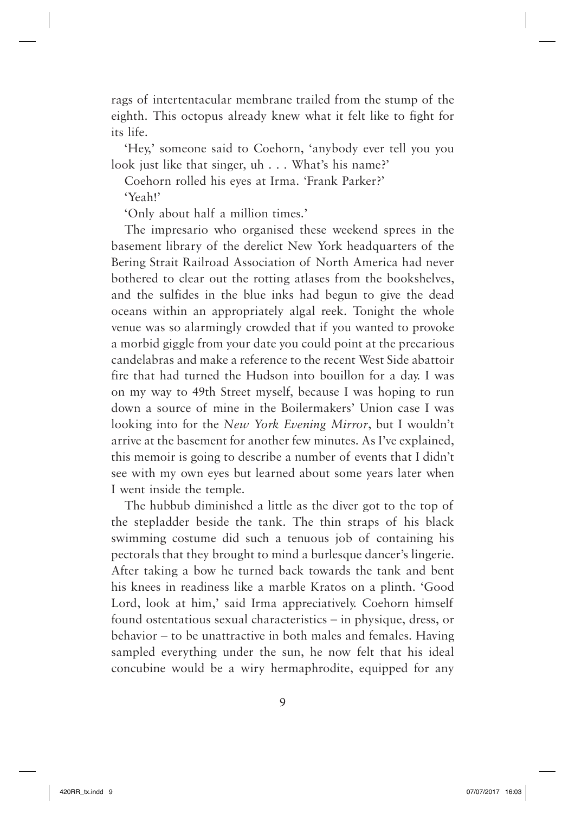rags of intertentacular membrane trailed from the stump of the eighth. This octopus already knew what it felt like to fight for its life.

'Hey,' someone said to Coehorn, 'anybody ever tell you you look just like that singer, uh . . . What's his name?'

Coehorn rolled his eyes at Irma. 'Frank Parker?' 'Yeah!'

'Only about half a million times.'

The impresario who organised these weekend sprees in the basement library of the derelict New York headquarters of the Bering Strait Railroad Association of North America had never bothered to clear out the rotting atlases from the bookshelves, and the sulfides in the blue inks had begun to give the dead oceans within an appropriately algal reek. Tonight the whole venue was so alarmingly crowded that if you wanted to provoke a morbid giggle from your date you could point at the precarious candelabras and make a reference to the recent West Side abattoir fire that had turned the Hudson into bouillon for a day. I was on my way to 49th Street myself, because I was hoping to run down a source of mine in the Boilermakers' Union case I was looking into for the *New York Evening Mirror*, but I wouldn't arrive at the basement for another few minutes. As I've explained, this memoir is going to describe a number of events that I didn't see with my own eyes but learned about some years later when I went inside the temple.

The hubbub diminished a little as the diver got to the top of the stepladder beside the tank. The thin straps of his black swimming costume did such a tenuous job of containing his pectorals that they brought to mind a burlesque dancer's lingerie. After taking a bow he turned back towards the tank and bent his knees in readiness like a marble Kratos on a plinth. 'Good Lord, look at him,' said Irma appreciatively. Coehorn himself found ostentatious sexual characteristics – in physique, dress, or behavior – to be unattractive in both males and females. Having sampled everything under the sun, he now felt that his ideal concubine would be a wiry hermaphrodite, equipped for any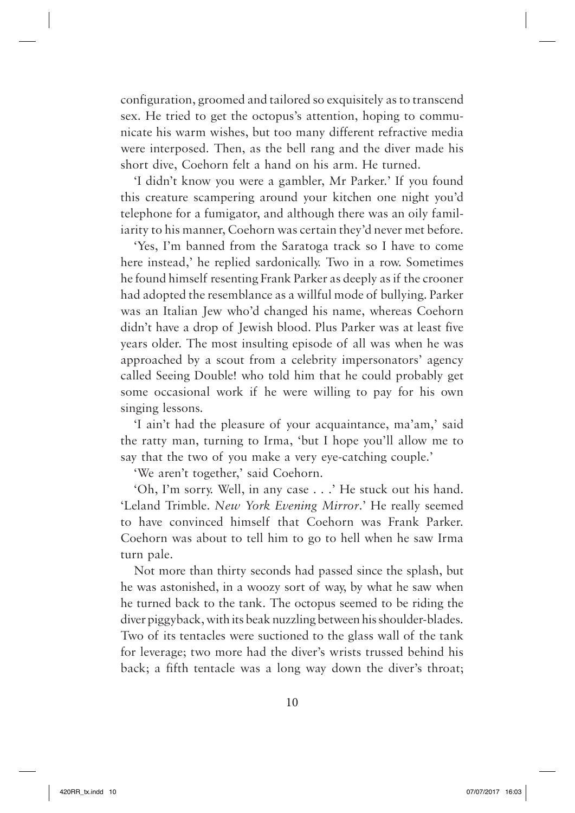configuration, groomed and tailored so exquisitely as to transcend sex. He tried to get the octopus's attention, hoping to communicate his warm wishes, but too many different refractive media were interposed. Then, as the bell rang and the diver made his short dive, Coehorn felt a hand on his arm. He turned.

'I didn't know you were a gambler, Mr Parker.' If you found this creature scampering around your kitchen one night you'd telephone for a fumigator, and although there was an oily familiarity to his manner, Coehorn was certain they'd never met before.

'Yes, I'm banned from the Saratoga track so I have to come here instead,' he replied sardonically. Two in a row. Sometimes he found himself resenting Frank Parker as deeply as if the crooner had adopted the resemblance as a willful mode of bullying. Parker was an Italian Jew who'd changed his name, whereas Coehorn didn't have a drop of Jewish blood. Plus Parker was at least five years older. The most insulting episode of all was when he was approached by a scout from a celebrity impersonators' agency called Seeing Double! who told him that he could probably get some occasional work if he were willing to pay for his own singing lessons.

'I ain't had the pleasure of your acquaintance, ma'am,' said the ratty man, turning to Irma, 'but I hope you'll allow me to say that the two of you make a very eye-catching couple.'

'We aren't together,' said Coehorn.

'Oh, I'm sorry. Well, in any case . . .' He stuck out his hand. 'Leland Trimble. *New York Evening Mirror*.' He really seemed to have convinced himself that Coehorn was Frank Parker. Coehorn was about to tell him to go to hell when he saw Irma turn pale.

Not more than thirty seconds had passed since the splash, but he was astonished, in a woozy sort of way, by what he saw when he turned back to the tank. The octopus seemed to be riding the diver piggyback, with its beak nuzzling between his shoulder-blades. Two of its tentacles were suctioned to the glass wall of the tank for leverage; two more had the diver's wrists trussed behind his back; a fifth tentacle was a long way down the diver's throat;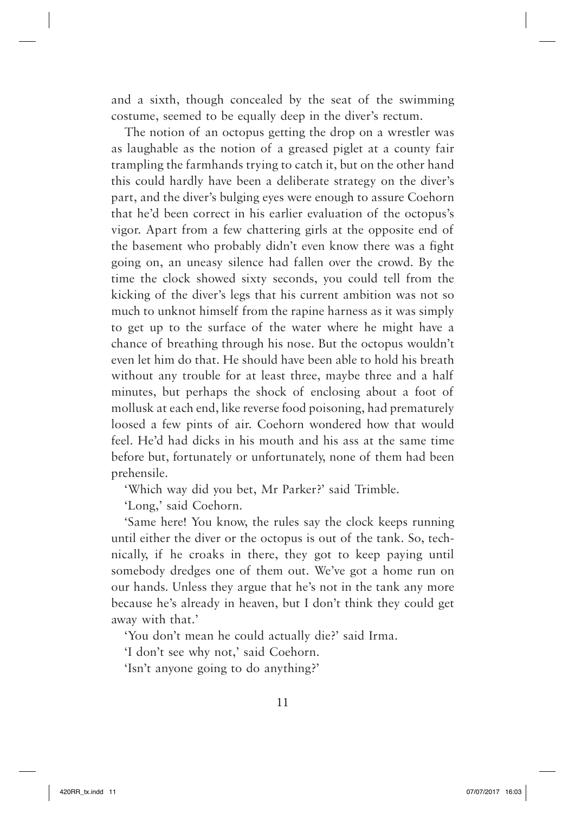and a sixth, though concealed by the seat of the swimming costume, seemed to be equally deep in the diver's rectum.

The notion of an octopus getting the drop on a wrestler was as laughable as the notion of a greased piglet at a county fair trampling the farmhands trying to catch it, but on the other hand this could hardly have been a deliberate strategy on the diver's part, and the diver's bulging eyes were enough to assure Coehorn that he'd been correct in his earlier evaluation of the octopus's vigor. Apart from a few chattering girls at the opposite end of the basement who probably didn't even know there was a fight going on, an uneasy silence had fallen over the crowd. By the time the clock showed sixty seconds, you could tell from the kicking of the diver's legs that his current ambition was not so much to unknot himself from the rapine harness as it was simply to get up to the surface of the water where he might have a chance of breathing through his nose. But the octopus wouldn't even let him do that. He should have been able to hold his breath without any trouble for at least three, maybe three and a half minutes, but perhaps the shock of enclosing about a foot of mollusk at each end, like reverse food poisoning, had prematurely loosed a few pints of air. Coehorn wondered how that would feel. He'd had dicks in his mouth and his ass at the same time before but, fortunately or unfortunately, none of them had been prehensile.

'Which way did you bet, Mr Parker?' said Trimble.

'Long,' said Coehorn.

'Same here! You know, the rules say the clock keeps running until either the diver or the octopus is out of the tank. So, technically, if he croaks in there, they got to keep paying until somebody dredges one of them out. We've got a home run on our hands. Unless they argue that he's not in the tank any more because he's already in heaven, but I don't think they could get away with that.'

'You don't mean he could actually die?' said Irma.

'I don't see why not,' said Coehorn.

'Isn't anyone going to do anything?'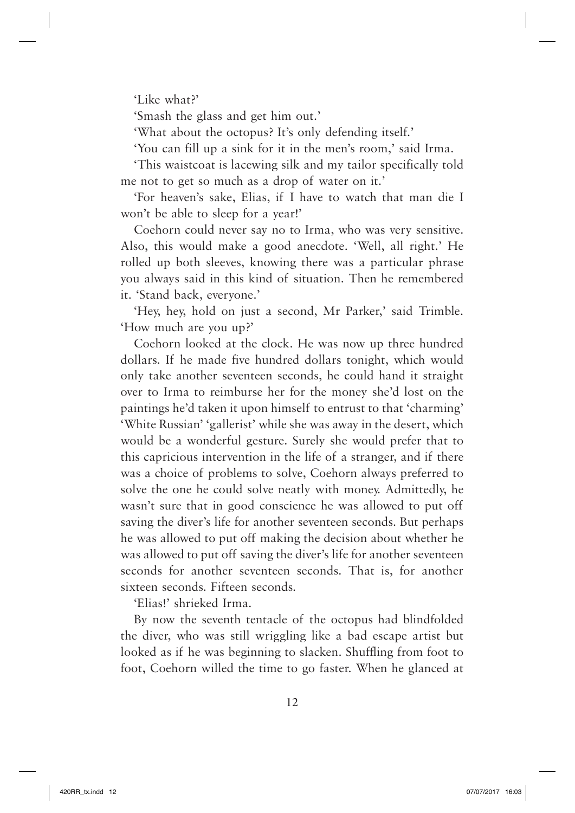'Like what?'

'Smash the glass and get him out.'

'What about the octopus? It's only defending itself.'

'You can fill up a sink for it in the men's room,' said Irma.

'This waistcoat is lacewing silk and my tailor specifically told me not to get so much as a drop of water on it.'

'For heaven's sake, Elias, if I have to watch that man die I won't be able to sleep for a year!'

Coehorn could never say no to Irma, who was very sensitive. Also, this would make a good anecdote. 'Well, all right.' He rolled up both sleeves, knowing there was a particular phrase you always said in this kind of situation. Then he remembered it. 'Stand back, everyone.'

'Hey, hey, hold on just a second, Mr Parker,' said Trimble. 'How much are you up?'

Coehorn looked at the clock. He was now up three hundred dollars. If he made five hundred dollars tonight, which would only take another seventeen seconds, he could hand it straight over to Irma to reimburse her for the money she'd lost on the paintings he'd taken it upon himself to entrust to that 'charming' 'White Russian' 'gallerist' while she was away in the desert, which would be a wonderful gesture. Surely she would prefer that to this capricious intervention in the life of a stranger, and if there was a choice of problems to solve, Coehorn always preferred to solve the one he could solve neatly with money. Admittedly, he wasn't sure that in good conscience he was allowed to put off saving the diver's life for another seventeen seconds. But perhaps he was allowed to put off making the decision about whether he was allowed to put off saving the diver's life for another seventeen seconds for another seventeen seconds. That is, for another sixteen seconds. Fifteen seconds.

'Elias!' shrieked Irma.

By now the seventh tentacle of the octopus had blindfolded the diver, who was still wriggling like a bad escape artist but looked as if he was beginning to slacken. Shuffling from foot to foot, Coehorn willed the time to go faster. When he glanced at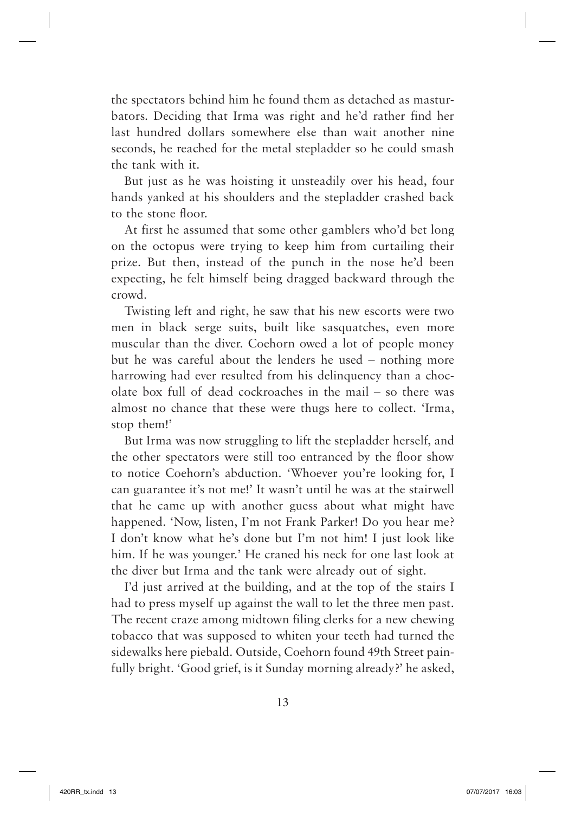the spectators behind him he found them as detached as masturbators. Deciding that Irma was right and he'd rather find her last hundred dollars somewhere else than wait another nine seconds, he reached for the metal stepladder so he could smash the tank with it.

But just as he was hoisting it unsteadily over his head, four hands yanked at his shoulders and the stepladder crashed back to the stone floor.

At first he assumed that some other gamblers who'd bet long on the octopus were trying to keep him from curtailing their prize. But then, instead of the punch in the nose he'd been expecting, he felt himself being dragged backward through the crowd.

Twisting left and right, he saw that his new escorts were two men in black serge suits, built like sasquatches, even more muscular than the diver. Coehorn owed a lot of people money but he was careful about the lenders he used – nothing more harrowing had ever resulted from his delinquency than a chocolate box full of dead cockroaches in the mail – so there was almost no chance that these were thugs here to collect. 'Irma, stop them!'

But Irma was now struggling to lift the stepladder herself, and the other spectators were still too entranced by the floor show to notice Coehorn's abduction. 'Whoever you're looking for, I can guarantee it's not me!' It wasn't until he was at the stairwell that he came up with another guess about what might have happened. 'Now, listen, I'm not Frank Parker! Do you hear me? I don't know what he's done but I'm not him! I just look like him. If he was younger.' He craned his neck for one last look at the diver but Irma and the tank were already out of sight.

I'd just arrived at the building, and at the top of the stairs I had to press myself up against the wall to let the three men past. The recent craze among midtown filing clerks for a new chewing tobacco that was supposed to whiten your teeth had turned the sidewalks here piebald. Outside, Coehorn found 49th Street painfully bright. 'Good grief, is it Sunday morning already?' he asked,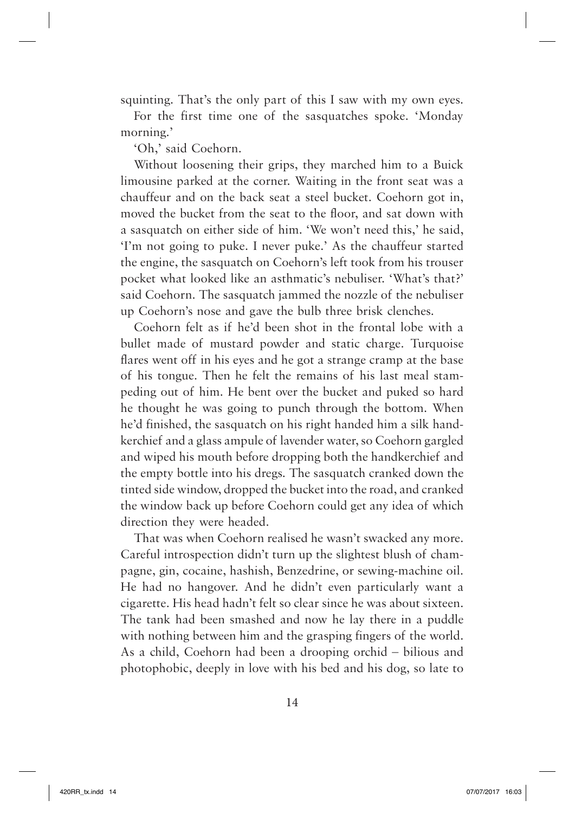squinting. That's the only part of this I saw with my own eyes.

For the first time one of the sasquatches spoke. 'Monday morning.'

'Oh,' said Coehorn.

Without loosening their grips, they marched him to a Buick limousine parked at the corner. Waiting in the front seat was a chauffeur and on the back seat a steel bucket. Coehorn got in, moved the bucket from the seat to the floor, and sat down with a sasquatch on either side of him. 'We won't need this,' he said, 'I'm not going to puke. I never puke.' As the chauffeur started the engine, the sasquatch on Coehorn's left took from his trouser pocket what looked like an asthmatic's nebuliser. 'What's that?' said Coehorn. The sasquatch jammed the nozzle of the nebuliser up Coehorn's nose and gave the bulb three brisk clenches.

Coehorn felt as if he'd been shot in the frontal lobe with a bullet made of mustard powder and static charge. Turquoise flares went off in his eyes and he got a strange cramp at the base of his tongue. Then he felt the remains of his last meal stampeding out of him. He bent over the bucket and puked so hard he thought he was going to punch through the bottom. When he'd finished, the sasquatch on his right handed him a silk handkerchief and a glass ampule of lavender water, so Coehorn gargled and wiped his mouth before dropping both the handkerchief and the empty bottle into his dregs. The sasquatch cranked down the tinted side window, dropped the bucket into the road, and cranked the window back up before Coehorn could get any idea of which direction they were headed.

That was when Coehorn realised he wasn't swacked any more. Careful introspection didn't turn up the slightest blush of champagne, gin, cocaine, hashish, Benzedrine, or sewing-machine oil. He had no hangover. And he didn't even particularly want a cigarette. His head hadn't felt so clear since he was about sixteen. The tank had been smashed and now he lay there in a puddle with nothing between him and the grasping fingers of the world. As a child, Coehorn had been a drooping orchid – bilious and photophobic, deeply in love with his bed and his dog, so late to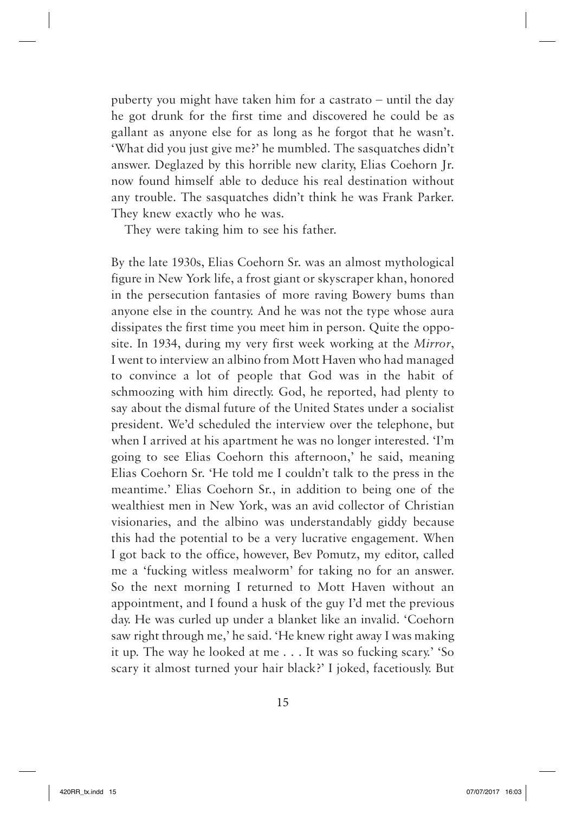puberty you might have taken him for a castrato – until the day he got drunk for the first time and discovered he could be as gallant as anyone else for as long as he forgot that he wasn't. 'What did you just give me?' he mumbled. The sasquatches didn't answer. Deglazed by this horrible new clarity, Elias Coehorn Jr. now found himself able to deduce his real destination without any trouble. The sasquatches didn't think he was Frank Parker. They knew exactly who he was.

They were taking him to see his father.

By the late 1930s, Elias Coehorn Sr. was an almost mythological figure in New York life, a frost giant or skyscraper khan, honored in the persecution fantasies of more raving Bowery bums than anyone else in the country. And he was not the type whose aura dissipates the first time you meet him in person. Quite the opposite. In 1934, during my very first week working at the *Mirror*, I went to interview an albino from Mott Haven who had managed to convince a lot of people that God was in the habit of schmoozing with him directly. God, he reported, had plenty to say about the dismal future of the United States under a socialist president. We'd scheduled the interview over the telephone, but when I arrived at his apartment he was no longer interested. 'I'm going to see Elias Coehorn this afternoon,' he said, meaning Elias Coehorn Sr. 'He told me I couldn't talk to the press in the meantime.' Elias Coehorn Sr., in addition to being one of the wealthiest men in New York, was an avid collector of Christian visionaries, and the albino was understandably giddy because this had the potential to be a very lucrative engagement. When I got back to the office, however, Bev Pomutz, my editor, called me a 'fucking witless mealworm' for taking no for an answer. So the next morning I returned to Mott Haven without an appointment, and I found a husk of the guy I'd met the previous day. He was curled up under a blanket like an invalid. 'Coehorn saw right through me,' he said. 'He knew right away I was making it up. The way he looked at me . . . It was so fucking scary.' 'So scary it almost turned your hair black?' I joked, facetiously. But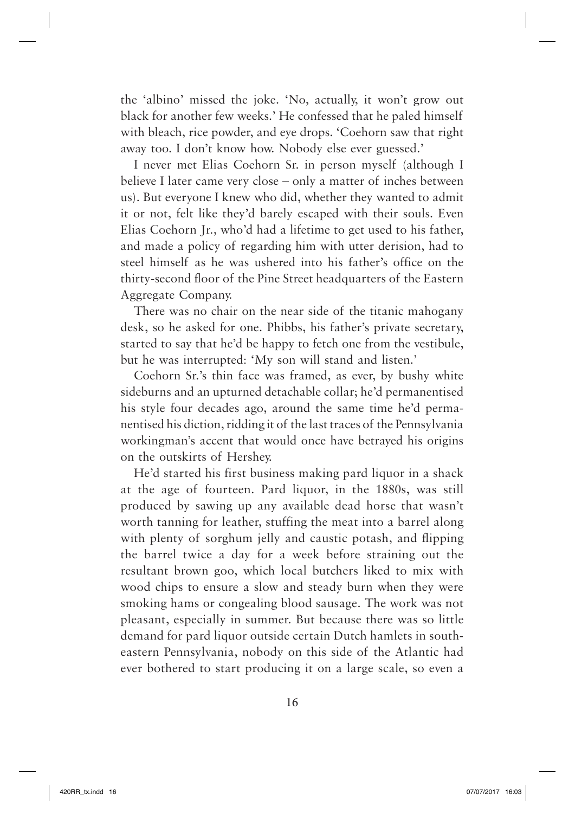the 'albino' missed the joke. 'No, actually, it won't grow out black for another few weeks.' He confessed that he paled himself with bleach, rice powder, and eye drops. 'Coehorn saw that right away too. I don't know how. Nobody else ever guessed.'

I never met Elias Coehorn Sr. in person myself (although I believe I later came very close – only a matter of inches between us). But everyone I knew who did, whether they wanted to admit it or not, felt like they'd barely escaped with their souls. Even Elias Coehorn Jr., who'd had a lifetime to get used to his father, and made a policy of regarding him with utter derision, had to steel himself as he was ushered into his father's office on the thirty-second floor of the Pine Street headquarters of the Eastern Aggregate Company.

There was no chair on the near side of the titanic mahogany desk, so he asked for one. Phibbs, his father's private secretary, started to say that he'd be happy to fetch one from the vestibule, but he was interrupted: 'My son will stand and listen.'

Coehorn Sr.'s thin face was framed, as ever, by bushy white sideburns and an upturned detachable collar; he'd permanentised his style four decades ago, around the same time he'd permanentised his diction, ridding it of the last traces of the Pennsylvania workingman's accent that would once have betrayed his origins on the outskirts of Hershey.

He'd started his first business making pard liquor in a shack at the age of fourteen. Pard liquor, in the 1880s, was still produced by sawing up any available dead horse that wasn't worth tanning for leather, stuffing the meat into a barrel along with plenty of sorghum jelly and caustic potash, and flipping the barrel twice a day for a week before straining out the resultant brown goo, which local butchers liked to mix with wood chips to ensure a slow and steady burn when they were smoking hams or congealing blood sausage. The work was not pleasant, especially in summer. But because there was so little demand for pard liquor outside certain Dutch hamlets in southeastern Pennsylvania, nobody on this side of the Atlantic had ever bothered to start producing it on a large scale, so even a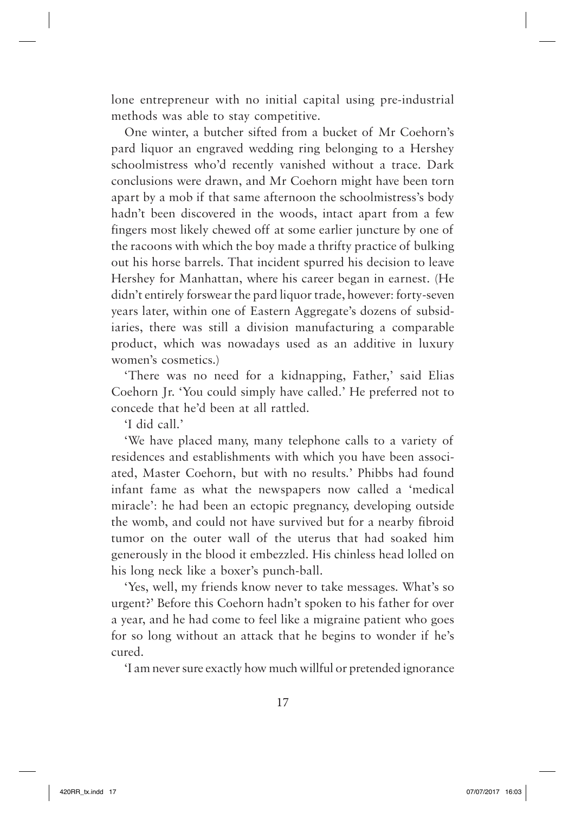lone entrepreneur with no initial capital using pre-industrial methods was able to stay competitive.

One winter, a butcher sifted from a bucket of Mr Coehorn's pard liquor an engraved wedding ring belonging to a Hershey schoolmistress who'd recently vanished without a trace. Dark conclusions were drawn, and Mr Coehorn might have been torn apart by a mob if that same afternoon the schoolmistress's body hadn't been discovered in the woods, intact apart from a few fingers most likely chewed off at some earlier juncture by one of the racoons with which the boy made a thrifty practice of bulking out his horse barrels. That incident spurred his decision to leave Hershey for Manhattan, where his career began in earnest. (He didn't entirely forswear the pard liquor trade, however: forty-seven years later, within one of Eastern Aggregate's dozens of subsidiaries, there was still a division manufacturing a comparable product, which was nowadays used as an additive in luxury women's cosmetics.)

'There was no need for a kidnapping, Father,' said Elias Coehorn Jr. 'You could simply have called.' He preferred not to concede that he'd been at all rattled.

'I did call.'

'We have placed many, many telephone calls to a variety of residences and establishments with which you have been associated, Master Coehorn, but with no results.' Phibbs had found infant fame as what the newspapers now called a 'medical miracle': he had been an ectopic pregnancy, developing outside the womb, and could not have survived but for a nearby fibroid tumor on the outer wall of the uterus that had soaked him generously in the blood it embezzled. His chinless head lolled on his long neck like a boxer's punch-ball.

'Yes, well, my friends know never to take messages. What's so urgent?' Before this Coehorn hadn't spoken to his father for over a year, and he had come to feel like a migraine patient who goes for so long without an attack that he begins to wonder if he's cured.

'I am never sure exactly how much willful or pretended ignorance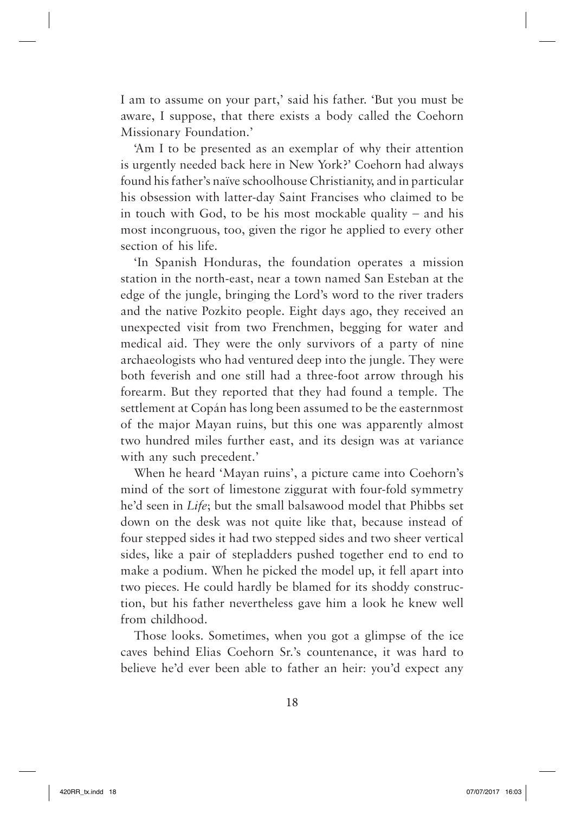I am to assume on your part,' said his father. 'But you must be aware, I suppose, that there exists a body called the Coehorn Missionary Foundation.'

'Am I to be presented as an exemplar of why their attention is urgently needed back here in New York?' Coehorn had always found his father's naïve schoolhouse Christianity, and in particular his obsession with latter-day Saint Francises who claimed to be in touch with God, to be his most mockable quality – and his most incongruous, too, given the rigor he applied to every other section of his life.

'In Spanish Honduras, the foundation operates a mission station in the north-east, near a town named San Esteban at the edge of the jungle, bringing the Lord's word to the river traders and the native Pozkito people. Eight days ago, they received an unexpected visit from two Frenchmen, begging for water and medical aid. They were the only survivors of a party of nine archaeologists who had ventured deep into the jungle. They were both feverish and one still had a three-foot arrow through his forearm. But they reported that they had found a temple. The settlement at Copán has long been assumed to be the easternmost of the major Mayan ruins, but this one was apparently almost two hundred miles further east, and its design was at variance with any such precedent.'

When he heard 'Mayan ruins', a picture came into Coehorn's mind of the sort of limestone ziggurat with four-fold symmetry he'd seen in *Life*; but the small balsawood model that Phibbs set down on the desk was not quite like that, because instead of four stepped sides it had two stepped sides and two sheer vertical sides, like a pair of stepladders pushed together end to end to make a podium. When he picked the model up, it fell apart into two pieces. He could hardly be blamed for its shoddy construction, but his father nevertheless gave him a look he knew well from childhood.

Those looks. Sometimes, when you got a glimpse of the ice caves behind Elias Coehorn Sr.'s countenance, it was hard to believe he'd ever been able to father an heir: you'd expect any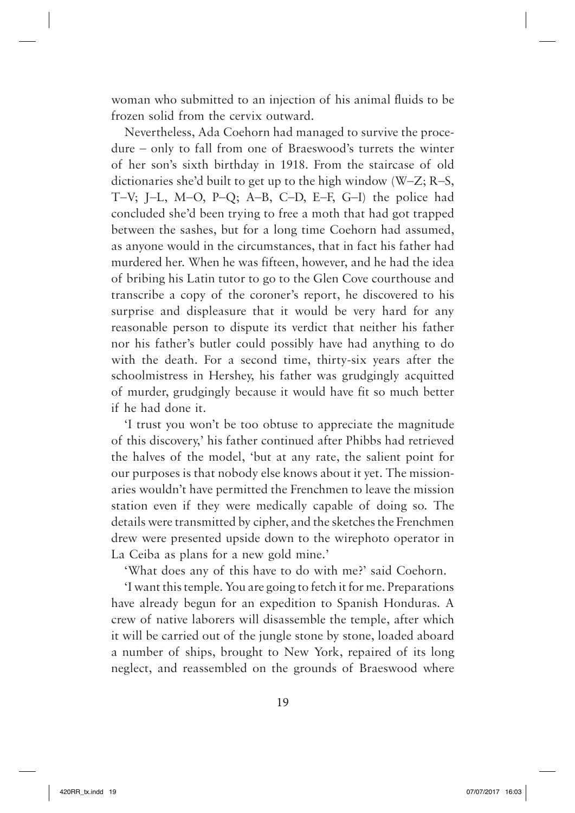woman who submitted to an injection of his animal fluids to be frozen solid from the cervix outward.

Nevertheless, Ada Coehorn had managed to survive the procedure – only to fall from one of Braeswood's turrets the winter of her son's sixth birthday in 1918. From the staircase of old dictionaries she'd built to get up to the high window (W–Z; R–S, T–V; J–L, M–O, P–Q; A–B, C–D, E–F, G–I) the police had concluded she'd been trying to free a moth that had got trapped between the sashes, but for a long time Coehorn had assumed, as anyone would in the circumstances, that in fact his father had murdered her. When he was fifteen, however, and he had the idea of bribing his Latin tutor to go to the Glen Cove courthouse and transcribe a copy of the coroner's report, he discovered to his surprise and displeasure that it would be very hard for any reasonable person to dispute its verdict that neither his father nor his father's butler could possibly have had anything to do with the death. For a second time, thirty-six years after the schoolmistress in Hershey, his father was grudgingly acquitted of murder, grudgingly because it would have fit so much better if he had done it.

'I trust you won't be too obtuse to appreciate the magnitude of this discovery,' his father continued after Phibbs had retrieved the halves of the model, 'but at any rate, the salient point for our purposes is that nobody else knows about it yet. The missionaries wouldn't have permitted the Frenchmen to leave the mission station even if they were medically capable of doing so. The details were transmitted by cipher, and the sketches the Frenchmen drew were presented upside down to the wirephoto operator in La Ceiba as plans for a new gold mine.'

'What does any of this have to do with me?' said Coehorn.

'I want this temple. You are going to fetch it for me. Preparations have already begun for an expedition to Spanish Honduras. A crew of native laborers will disassemble the temple, after which it will be carried out of the jungle stone by stone, loaded aboard a number of ships, brought to New York, repaired of its long neglect, and reassembled on the grounds of Braeswood where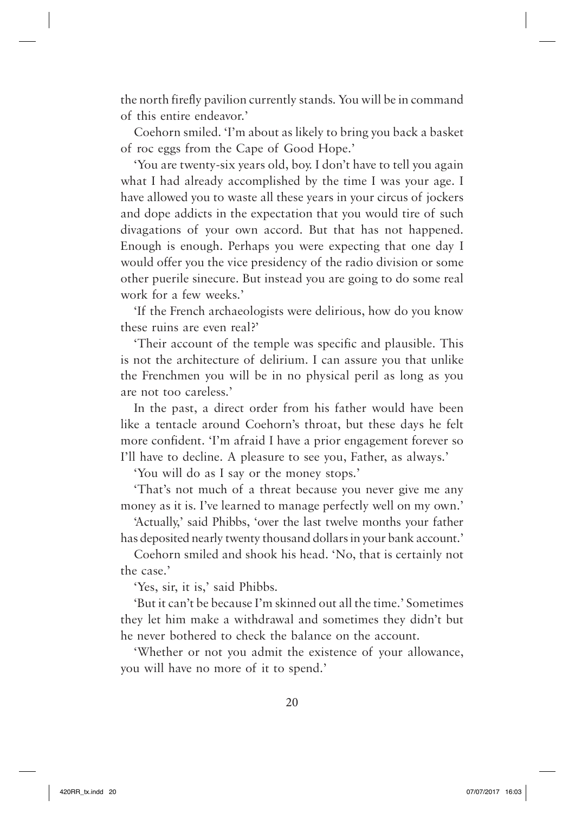the north firefly pavilion currently stands. You will be in command of this entire endeavor.'

Coehorn smiled. 'I'm about as likely to bring you back a basket of roc eggs from the Cape of Good Hope.'

'You are twenty-six years old, boy. I don't have to tell you again what I had already accomplished by the time I was your age. I have allowed you to waste all these years in your circus of jockers and dope addicts in the expectation that you would tire of such divagations of your own accord. But that has not happened. Enough is enough. Perhaps you were expecting that one day I would offer you the vice presidency of the radio division or some other puerile sinecure. But instead you are going to do some real work for a few weeks.'

'If the French archaeologists were delirious, how do you know these ruins are even real?'

'Their account of the temple was specific and plausible. This is not the architecture of delirium. I can assure you that unlike the Frenchmen you will be in no physical peril as long as you are not too careless.'

In the past, a direct order from his father would have been like a tentacle around Coehorn's throat, but these days he felt more confident. 'I'm afraid I have a prior engagement forever so I'll have to decline. A pleasure to see you, Father, as always.'

'You will do as I say or the money stops.'

'That's not much of a threat because you never give me any money as it is. I've learned to manage perfectly well on my own.'

'Actually,' said Phibbs, 'over the last twelve months your father has deposited nearly twenty thousand dollars in your bank account.'

Coehorn smiled and shook his head. 'No, that is certainly not the case.'

'Yes, sir, it is,' said Phibbs.

'But it can't be because I'm skinned out all the time.' Sometimes they let him make a withdrawal and sometimes they didn't but he never bothered to check the balance on the account.

'Whether or not you admit the existence of your allowance, you will have no more of it to spend.'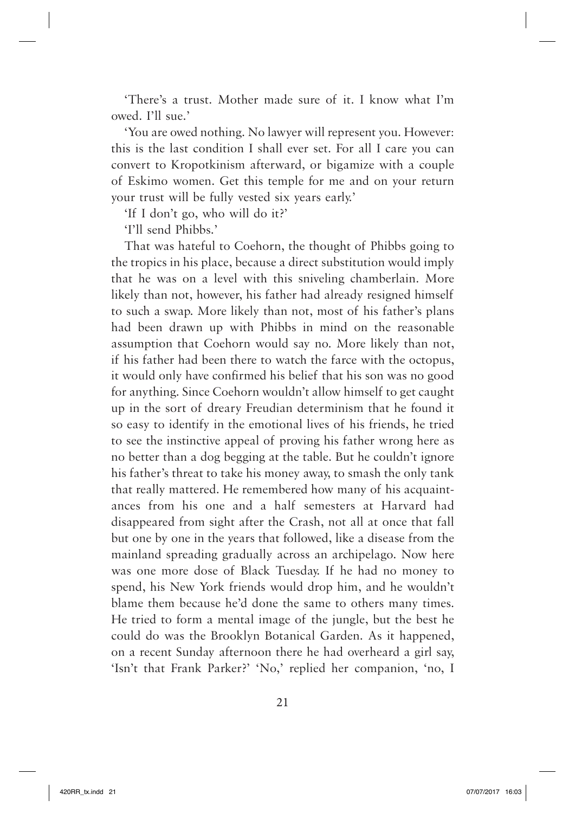'There's a trust. Mother made sure of it. I know what I'm owed. I'll sue.'

'You are owed nothing. No lawyer will represent you. However: this is the last condition I shall ever set. For all I care you can convert to Kropotkinism afterward, or bigamize with a couple of Eskimo women. Get this temple for me and on your return your trust will be fully vested six years early.'

'If I don't go, who will do it?'

'I'll send Phibbs.'

That was hateful to Coehorn, the thought of Phibbs going to the tropics in his place, because a direct substitution would imply that he was on a level with this sniveling chamberlain. More likely than not, however, his father had already resigned himself to such a swap. More likely than not, most of his father's plans had been drawn up with Phibbs in mind on the reasonable assumption that Coehorn would say no. More likely than not, if his father had been there to watch the farce with the octopus, it would only have confirmed his belief that his son was no good for anything. Since Coehorn wouldn't allow himself to get caught up in the sort of dreary Freudian determinism that he found it so easy to identify in the emotional lives of his friends, he tried to see the instinctive appeal of proving his father wrong here as no better than a dog begging at the table. But he couldn't ignore his father's threat to take his money away, to smash the only tank that really mattered. He remembered how many of his acquaintances from his one and a half semesters at Harvard had disappeared from sight after the Crash, not all at once that fall but one by one in the years that followed, like a disease from the mainland spreading gradually across an archipelago. Now here was one more dose of Black Tuesday. If he had no money to spend, his New York friends would drop him, and he wouldn't blame them because he'd done the same to others many times. He tried to form a mental image of the jungle, but the best he could do was the Brooklyn Botanical Garden. As it happened, on a recent Sunday afternoon there he had overheard a girl say, 'Isn't that Frank Parker?' 'No,' replied her companion, 'no, I